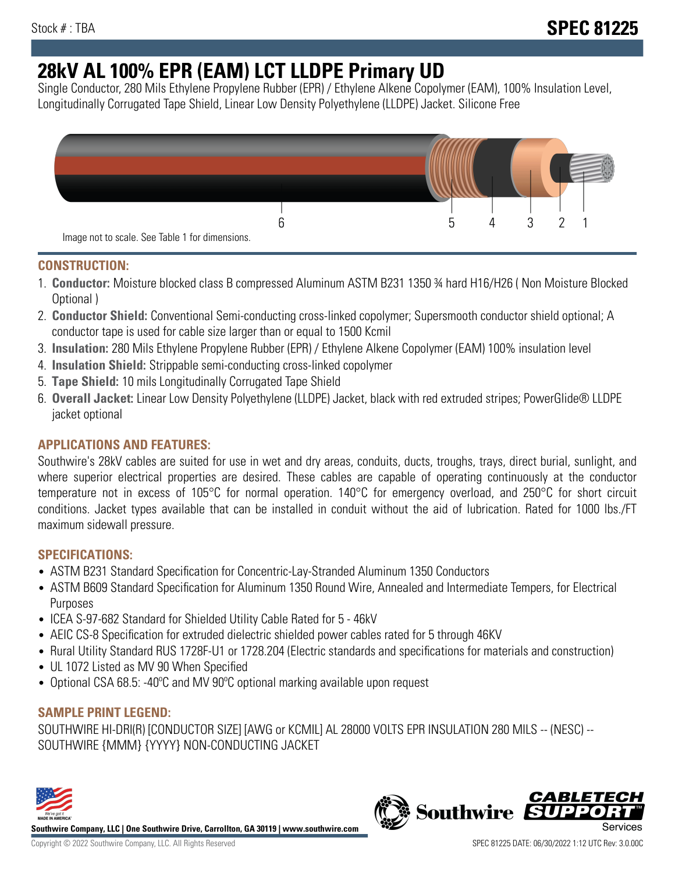# **28kV AL 100% EPR (EAM) LCT LLDPE Primary UD**

Single Conductor, 280 Mils Ethylene Propylene Rubber (EPR) / Ethylene Alkene Copolymer (EAM), 100% Insulation Level, Longitudinally Corrugated Tape Shield, Linear Low Density Polyethylene (LLDPE) Jacket. Silicone Free



## **CONSTRUCTION:**

- 1. **Conductor:** Moisture blocked class B compressed Aluminum ASTM B231 1350 ¾ hard H16/H26 ( Non Moisture Blocked Optional )
- 2. **Conductor Shield:** Conventional Semi-conducting cross-linked copolymer; Supersmooth conductor shield optional; A conductor tape is used for cable size larger than or equal to 1500 Kcmil
- 3. **Insulation:** 280 Mils Ethylene Propylene Rubber (EPR) / Ethylene Alkene Copolymer (EAM) 100% insulation level
- 4. **Insulation Shield:** Strippable semi-conducting cross-linked copolymer
- 5. **Tape Shield:** 10 mils Longitudinally Corrugated Tape Shield
- 6. **Overall Jacket:** Linear Low Density Polyethylene (LLDPE) Jacket, black with red extruded stripes; PowerGlide® LLDPE jacket optional

# **APPLICATIONS AND FEATURES:**

Southwire's 28kV cables are suited for use in wet and dry areas, conduits, ducts, troughs, trays, direct burial, sunlight, and where superior electrical properties are desired. These cables are capable of operating continuously at the conductor temperature not in excess of 105°C for normal operation. 140°C for emergency overload, and 250°C for short circuit conditions. Jacket types available that can be installed in conduit without the aid of lubrication. Rated for 1000 lbs./FT maximum sidewall pressure.

## **SPECIFICATIONS:**

- ASTM B231 Standard Specification for Concentric-Lay-Stranded Aluminum 1350 Conductors
- ASTM B609 Standard Specification for Aluminum 1350 Round Wire, Annealed and Intermediate Tempers, for Electrical Purposes
- ICEA S-97-682 Standard for Shielded Utility Cable Rated for 5 46kV
- AEIC CS-8 Specification for extruded dielectric shielded power cables rated for 5 through 46KV
- Rural Utility Standard RUS 1728F-U1 or 1728.204 (Electric standards and specifications for materials and construction)
- UL 1072 Listed as MV 90 When Specified
- Optional CSA 68.5: -40ºC and MV 90ºC optional marking available upon request

## **SAMPLE PRINT LEGEND:**

SOUTHWIRE HI-DRI(R) [CONDUCTOR SIZE] [AWG or KCMIL] AL 28000 VOLTS EPR INSULATION 280 MILS -- (NESC) -- SOUTHWIRE {MMM} {YYYY} NON-CONDUCTING JACKET



**Southwire Company, LLC | One Southwire Drive, Carrollton, GA 30119 | www.southwire.com**